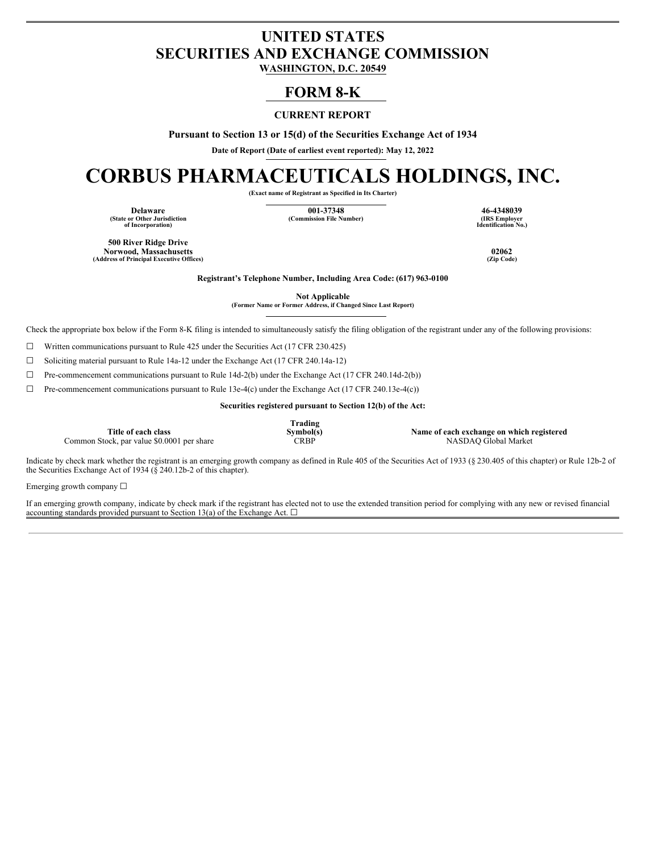## **UNITED STATES SECURITIES AND EXCHANGE COMMISSION**

**WASHINGTON, D.C. 20549**

### **FORM 8-K**

### **CURRENT REPORT**

**Pursuant to Section 13 or 15(d) of the Securities Exchange Act of 1934**

**Date of Report (Date of earliest event reported): May 12, 2022**

# **CORBUS PHARMACEUTICALS HOLDINGS, INC.**

**(Exact name of Registrant as Specified in Its Charter)**

**(State or Other Jurisdiction of Incorporation)**

**Delaware 001-37348 46-4348039**  $(Commission File Number)$ 

**Identification No.)**

**500 River Ridge Drive Norwood, Massachusetts 02062 (Address of Principal Executive Offices) (Zip Code)**

**Registrant's Telephone Number, Including Area Code: (617) 963-0100**

**Not Applicable (Former Name or Former Address, if Changed Since Last Report)**

Check the appropriate box below if the Form 8-K filing is intended to simultaneously satisfy the filing obligation of the registrant under any of the following provisions:

 $\Box$  Written communications pursuant to Rule 425 under the Securities Act (17 CFR 230.425)

☐ Soliciting material pursuant to Rule 14a-12 under the Exchange Act (17 CFR 240.14a-12)

☐ Pre-commencement communications pursuant to Rule 14d-2(b) under the Exchange Act (17 CFR 240.14d-2(b))

☐ Pre-commencement communications pursuant to Rule 13e-4(c) under the Exchange Act (17 CFR 240.13e-4(c))

**Securities registered pursuant to Section 12(b) of the Act:**

**Title of each class** Common Stock, par value \$0.0001 per share **Trading**

**Symbol(s) Name of each exchange on which registered**

Indicate by check mark whether the registrant is an emerging growth company as defined in Rule 405 of the Securities Act of 1933 (§ 230.405 of this chapter) or Rule 12b-2 of the Securities Exchange Act of 1934 ( $\S$  240.12b-2 of this chapter).

Emerging growth company ☐

If an emerging growth company, indicate by check mark if the registrant has elected not to use the extended transition period for complying with any new or revised financial accounting standards provided pursuant to Section 13(a) of the Exchange Act.  $\square$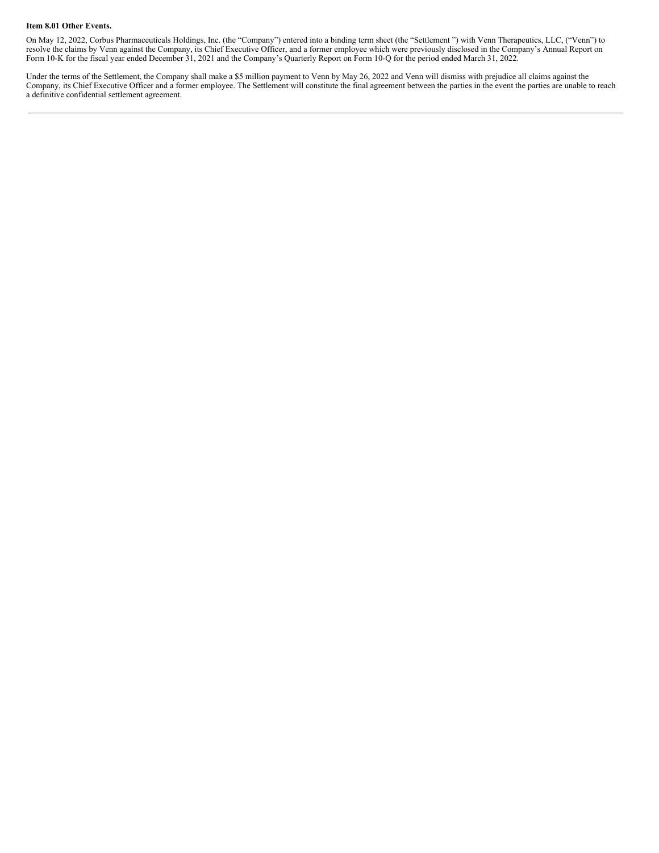#### **Item 8.01 Other Events.**

On May 12, 2022, Corbus Pharmaceuticals Holdings, Inc. (the "Company") entered into a binding term sheet (the "Settlement ") with Venn Therapeutics, LLC, ("Venn") to resolve the claims by Venn against the Company, its Chief Executive Officer, and a former employee which were previously disclosed in the Company's Annual Report on Form 10-K for the fiscal year ended December 31, 2021 and the Company's Quarterly Report on Form 10-Q for the period ended March 31, 2022.

Under the terms of the Settlement, the Company shall make a \$5 million payment to Venn by May 26, 2022 and Venn will dismiss with prejudice all claims against the Company, its Chief Executive Officer and a former employee. The Settlement will constitute the final agreement between the parties in the event the parties are unable to reach a definitive confidential settlement agreement.